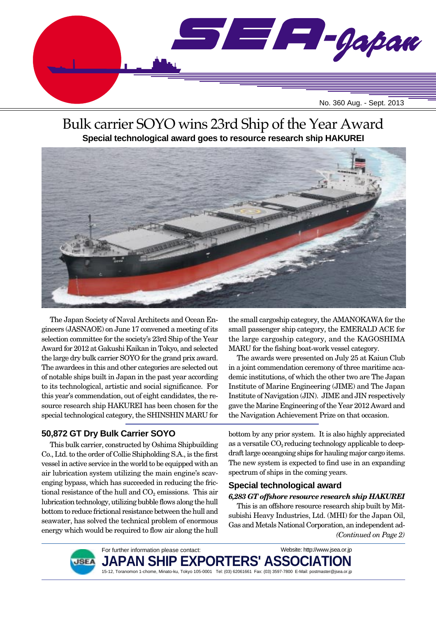

# Bulk carrier SOYO wins 23rd Ship of the Year Award **Special technological award goes to resource research ship HAKUREI**



The Japan Society of Naval Architects and Ocean Engineers (JASNAOE) on June 17 convened a meeting of its selection committee for the society's 23rd Ship of the Year Award for 2012 at Gakushi Kaikan in Tokyo, and selected the large dry bulk carrier SOYO for the grand prix award. The awardees in this and other categories are selected out of notable ships built in Japan in the past year according to its technological, artistic and social significance. For this year's commendation, out of eight candidates, the resource research ship HAKUREI has been chosen for the special technological category, the SHINSHIN MARU for

## **50,872 GT Dry Bulk Carrier SOYO**

This bulk carrier, constructed by Oshima Shipbuilding Co., Ltd. to the order of Collie Shipholding S.A., is the first vessel in active service in the world to be equipped with an air lubrication system utilizing the main engine's scavenging bypass, which has succeeded in reducing the frictional resistance of the hull and  $CO<sub>2</sub>$  emissions. This air lubrication technology, utilizing bubble flows along the hull bottom to reduce frictional resistance between the hull and seawater, has solved the technical problem of enormous energy which would be required to flow air along the hull the small cargoship category, the AMANOKAWA for the small passenger ship category, the EMERALD ACE for the large cargoship category, and the KAGOSHIMA MARU for the fishing boat-work vessel category.

The awards were presented on July 25 at Kaiun Club in a joint commendation ceremony of three maritime academic institutions, of which the other two are The Japan Institute of Marine Engineering (JIME) and The Japan Institute of Navigation (JIN). JIME and JIN respectively gave the Marine Engineering of the Year 2012 Award and the Navigation Achievement Prize on that occasion.

bottom by any prior system. It is also highly appreciated as a versatile  $CO<sub>2</sub>$  reducing technology applicable to deepdraft large oceangoing ships for hauling major cargo items. The new system is expected to find use in an expanding spectrum of ships in the coming years.

## **Special technological award**

## *6,283 GT offshore resource research ship HAKUREI*

*(Continued on Page 2)* This is an offshore resource research ship built by Mitsubishi Heavy Industries, Ltd. (MHI) for the Japan Oil, Gas and Metals National Corporation, an independent ad-



For further information please contact: **JAPAN SHIP EXPORTERS' ASSO** 15-12, Toranomon 1-chome, Minato-ku, Tokyo 105-0001 Tel: (03) 62061661 Fax: (03) 3597-7800 E-Mail: postmaster@jsea.or.jp Website: http://www.jsea.or.jp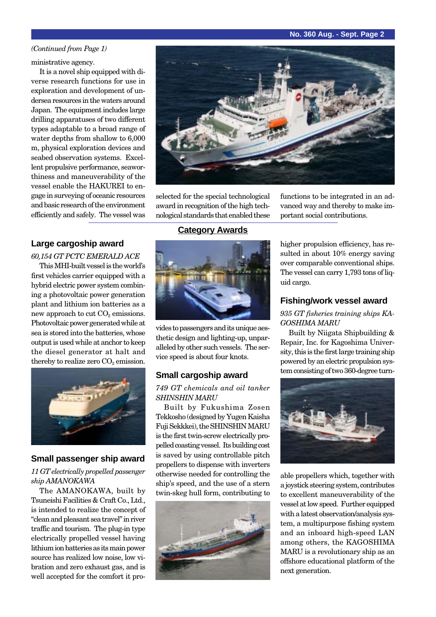#### **No. 360 Aug. - Sept. Page 2**

#### *(Continued from Page 1)*

#### ministrative agency.

It is a novel ship equipped with diverse research functions for use in exploration and development of undersea resources in the waters around Japan. The equipment includes large drilling apparatuses of two different types adaptable to a broad range of water depths from shallow to 6,000 m, physical exploration devices and seabed observation systems. Excellent propulsive performance, seaworthiness and maneuverability of the vessel enable the HAKUREI to engage in surveying of oceanic resources and basic research of the environment efficiently and safely. The vessel was

## **Large cargoship award**

*60,154 GT PCTC EMERALD ACE* This MHI-built vessel is the world's first vehicles carrier equipped with a hybrid electric power system combining a photovoltaic power generation plant and lithium ion batteries as a new approach to cut  $CO<sub>2</sub>$  emissions. Photovoltaic power generated while at sea is stored into the batteries, whose output is used while at anchor to keep the diesel generator at halt and thereby to realize zero  $CO<sub>2</sub>$  emission.



#### **Small passenger ship award**

#### *11 GT electrically propelled passenger ship AMANOKAWA*

The AMANOKAWA, built by Tsuneishi Facilities & Craft Co., Ltd., is intended to realize the concept of "clean and pleasant sea travel" in river traffic and tourism. The plug-in type electrically propelled vessel having lithium ion batteries as its main power source has realized low noise, low vibration and zero exhaust gas, and is well accepted for the comfort it pro-



selected for the special technological award in recognition of the high technological standards that enabled these

## **Category Awards**



vides to passengers and its unique aesthetic design and lighting-up, unparalleled by other such vessels. The service speed is about four knots.

#### **Small cargoship award**

#### *749 GT chemicals and oil tanker SHINSHIN MARU*

Built by Fukushima Zosen Tekkosho (designed by Yugen Kaisha Fuji Sekkkei), the SHINSHIN MARU is the first twin-screw electrically propelled coasting vessel. Its building cost is saved by using controllable pitch propellers to dispense with inverters otherwise needed for controlling the ship's speed, and the use of a stern twin-skeg hull form, contributing to



functions to be integrated in an advanced way and thereby to make important social contributions.

higher propulsion efficiency, has resulted in about 10% energy saving over comparable conventional ships. The vessel can carry 1,793 tons of liquid cargo.

### **Fishing/work vessel award**

*935 GT fisheries training ships KA-GOSHIMA MARU*

Built by Niigata Shipbuilding & Repair, Inc. for Kagoshima University, this is the first large training ship powered by an electric propulsion system consisting of two 360-degree turn-



able propellers which, together with a joystick steering system, contributes to excellent maneuverability of the vessel at low speed. Further equipped with a latest observation/analysis system, a multipurpose fishing system and an inboard high-speed LAN among others, the KAGOSHIMA MARU is a revolutionary ship as an offshore educational platform of the next generation.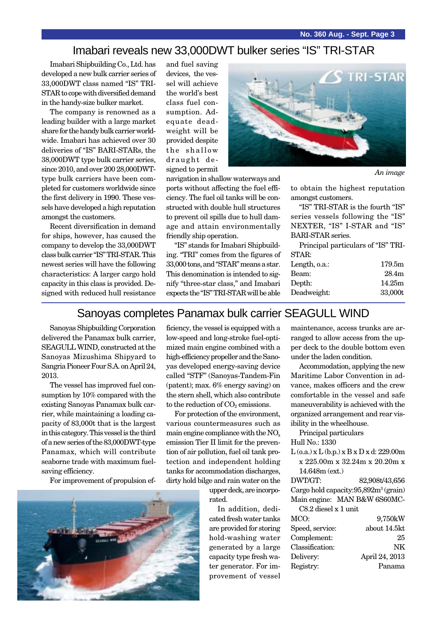## Imabari reveals new 33,000DWT bulker series "IS" TRI-STAR

navigation in shallow waterways and ports without affecting the fuel efficiency. The fuel oil tanks will be constructed with double hull structures to prevent oil spills due to hull damage and attain environmentally

friendly ship operation.

Imabari Shipbuilding Co., Ltd. has developed a new bulk carrier series of 33,000DWT class named "IS" TRI-STAR to cope with diversified demand in the handy-size bulker market.

The company is renowned as a leading builder with a large market share for the handy bulk carrier worldwide. Imabari has achieved over 30 deliveries of "IS" BARI-STARs, the 38,000DWT type bulk carrier series, since 2010, and over 200 28,000DWTtype bulk carriers have been completed for customers worldwide since the first delivery in 1990. These vessels have developed a high reputation amongst the customers.

Recent diversification in demand for ships, however, has caused the company to develop the 33,000DWT class bulk carrier "IS" TRI-STAR. This newest series will have the following characteristics: A larger cargo hold capacity in this class is provided. Designed with reduced hull resistance

and fuel saving devices, the vessel will achieve the world's best class fuel consumption. Adequate deadweight will be provided despite the shallow draught designed to permit



*An image*

to obtain the highest reputation amongst customers.

"IS" TRI-STAR is the fourth "IS" series vessels following the "IS" NEXTER, "IS" I-STAR and "IS" BARI-STAR series.

Principal particulars of "IS" TRI-STAR:

| Length, o.a.: | 179.5m            |
|---------------|-------------------|
| Beam:         | 28.4 <sub>m</sub> |
| Depth:        | 14.25m            |
| Deadweight:   | 33,000t           |
|               |                   |

## Sanoyas completes Panamax bulk carrier SEAGULL WIND

"IS" stands for Imabari Shipbuilding. "TRI" comes from the figures of 33,000 tons, and "STAR" means a star. This denomination is intended to signify "three-star class," and Imabari expects the "IS" TRI-STAR will be able

Sanoyas Shipbuilding Corporation delivered the Panamax bulk carrier, SEAGULL WIND, constructed at the Sanoyas Mizushima Shipyard to Sangria Pioneer Four S.A. on April 24, 2013.

The vessel has improved fuel consumption by 10% compared with the existing Sanoyas Panamax bulk carrier, while maintaining a loading capacity of 83,000t that is the largest in this category. This vessel is the third of a new series of the 83,000DWT-type Panamax, which will contribute seaborne trade with maximum fuelsaving efficiency.

For improvement of propulsion ef-

ficiency, the vessel is equipped with a low-speed and long-stroke fuel-optimized main engine combined with a high-efficiency propeller and the Sanoyas developed energy-saving device called "STF" (Sanoyas-Tandem-Fin (patent); max. 6% energy saving) on the stern shell, which also contribute to the reduction of  $CO<sub>2</sub>$  emissions.

For protection of the environment, various countermeasures such as main engine compliance with the  $NO<sub>x</sub>$ emission Tier II limit for the prevention of air pollution, fuel oil tank protection and independent holding tanks for accommodation discharges, dirty hold bilge and rain water on the

> upper deck, are incorporated.

In addition, dedicated fresh water tanks are provided for storing hold-washing water generated by a large capacity type fresh water generator. For improvement of vessel

maintenance, access trunks are arranged to allow access from the upper deck to the double bottom even under the laden condition.

Accommodation, applying the new Maritime Labor Convention in advance, makes officers and the crew comfortable in the vessel and safe maneuverability is achieved with the organized arrangement and rear visibility in the wheelhouse.

Principal particulars

Hull No.: 1330

L (o.a.) x L (b.p.) x B x D x d: 229.00m x 225.00m x 32.24m x 20.20m x 14.648m (ext.) DWT/GT: 82,908t/43,656 Cargo hold capacity:95,892m<sup>3</sup> (grain) Main engine: MAN B&W 6S60MC-C8.2 diesel x 1 unit

| MCO:            | 9,750kW        |
|-----------------|----------------|
| Speed, service: | about 14.5kt   |
| Complement:     | 25             |
| Classification: | NK             |
| Delivery:       | April 24, 2013 |
| Registry:       | Panama         |
|                 |                |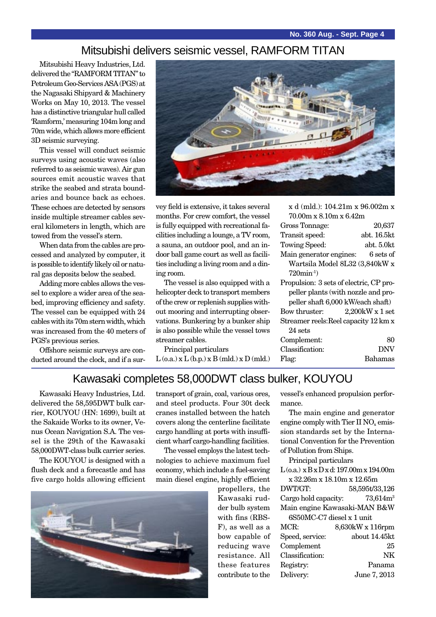## Mitsubishi delivers seismic vessel, RAMFORM TITAN

Mitsubishi Heavy Industries, Ltd. delivered the "RAMFORM TITAN" to Petroleum Geo-Services ASA (PGS) at the Nagasaki Shipyard & Machinery Works on May 10, 2013. The vessel has a distinctive triangular hull called 'Ramform,' measuring 104m long and 70m wide, which allows more efficient 3D seismic surveying.

This vessel will conduct seismic surveys using acoustic waves (also referred to as seismic waves). Air gun sources emit acoustic waves that strike the seabed and strata boundaries and bounce back as echoes. These echoes are detected by sensors inside multiple streamer cables several kilometers in length, which are towed from the vessel's stern.

When data from the cables are processed and analyzed by computer, it is possible to identify likely oil or natural gas deposits below the seabed.

Adding more cables allows the vessel to explore a wider area of the seabed, improving efficiency and safety. The vessel can be equipped with 24 cables with its 70m stern width, which was increased from the 40 meters of PGS's previous series.

Offshore seismic surveys are conducted around the clock, and if a sur-



vey field is extensive, it takes several months. For crew comfort, the vessel is fully equipped with recreational facilities including a lounge, a TV room, a sauna, an outdoor pool, and an indoor ball game court as well as facilities including a living room and a dining room.

The vessel is also equipped with a helicopter deck to transport members of the crew or replenish supplies without mooring and interrupting observations. Bunkering by a bunker ship is also possible while the vessel tows streamer cables.

Principal particulars  $L$  (o.a.)  $x L$  (b.p.)  $x B$  (mld.)  $x D$  (mld.)

| X 0 (11110.): 104.21111 X 90.002111 X   |                 |
|-----------------------------------------|-----------------|
| $70.00m \times 8.10m \times 6.42m$      |                 |
| Gross Tonnage:                          | 20,637          |
| Transit speed:                          | abt. 16.5kt     |
| Towing Speed:                           | abt. 5.0kt      |
| Main generator engines:                 | 6 sets of       |
| Wartsila Model 8L32 (3,840kW x          |                 |
| $720$ min <sup>-1</sup> )               |                 |
| Propulsion: 3 sets of electric, CP pro- |                 |
| peller plants (with nozzle and pro-     |                 |
| peller shaft 6,000 kW/each shaft)       |                 |
| Bow thruster:                           | 2,200kW x 1 set |
| Streamer reels: Reel capacity 12 km x   |                 |
| $24$ sets                               |                 |
| Complement:                             | 80              |
| Classification:                         | DNV             |
| Flag:                                   | Bahamas         |

 $3(1.13)$ : 104.91m

Kawasaki completes 58,000DWT class bulker, KOUYOU

Kawasaki Heavy Industries, Ltd. delivered the 58,595DWT bulk carrier, KOUYOU (HN: 1699), built at the Sakaide Works to its owner, Venus Ocean Navigation S.A. The vessel is the 29th of the Kawasaki 58,000DWT-class bulk carrier series.

The KOUYOU is designed with a flush deck and a forecastle and has five cargo holds allowing efficient



transport of grain, coal, various ores, and steel products. Four 30t deck cranes installed between the hatch covers along the centerline facilitate cargo handling at ports with insufficient wharf cargo-handling facilities.

The vessel employs the latest technologies to achieve maximum fuel economy, which include a fuel-saving main diesel engine, highly efficient

> propellers, the Kawasaki rudder bulb system with fins (RBS-F), as well as a bow capable of reducing wave resistance. All these features contribute to the

vessel's enhanced propulsion performance.

The main engine and generator engine comply with Tier II  $NO<sub>x</sub>$  emission standards set by the International Convention for the Prevention of Pollution from Ships.

Principal particulars

 $L$  (o.a.)  $x B x D x d$ : 197.00m x 194.00m x 32.26m x 18.10m x 12.65m

DWT/GT: 58,595t/33,126 Cargo hold capacity: 73,614m<sup>3</sup> Main engine Kawasaki-MAN B&W  $6S50MC-C7$  diesel x 1 unit

| 00000000-07 diesel a 1 dilit |                  |
|------------------------------|------------------|
| MCR:                         | 8,630kW x 116rpm |
| Speed, service:              | about 14.45kt    |
| Complement                   | 25               |
| Classification:              | NK               |
| Registry:                    | Panama           |
| Delivery:                    | June 7, 2013     |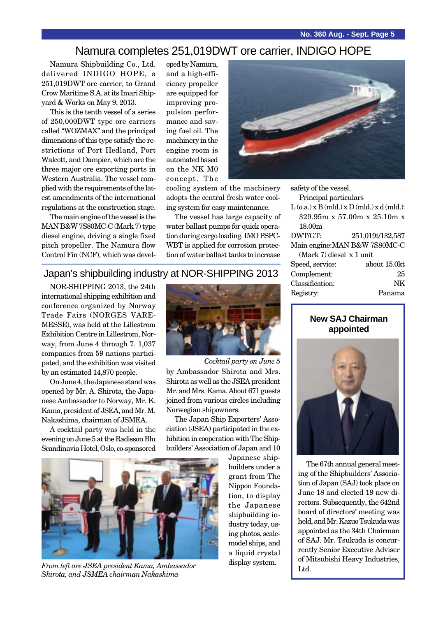## Namura completes 251,019DWT ore carrier, INDIGO HOPE

Namura Shipbuilding Co., Ltd. delivered INDIGO HOPE, a 251,019DWT ore carrier, to Grand Crow Maritime S.A. at its Imari Shipyard & Works on May 9, 2013.

This is the tenth vessel of a series of 250,000DWT type ore carriers called "WOZMAX" and the principal dimensions of this type satisfy the restrictions of Port Hedland, Port Walcott, and Dampier, which are the three major ore exporting ports in Western Australia. The vessel complied with the requirements of the latest amendments of the international regulations at the construction stage.

The main engine of the vessel is the MAN B&W 7S80MC-C (Mark 7) type diesel engine, driving a single fixed pitch propeller. The Namura flow Control Fin (NCF), which was devel-

oped by Namura, and a high-efficiency propeller are equipped for improving propulsion performance and saving fuel oil. The machinery in the engine room is automated based on the NK M0 concept. The



The vessel has large capacity of water ballast pumps for quick operation during cargo loading. IMO PSPC-WBT is applied for corrosion protection of water ballast tanks to increase



safety of the vessel. Principal particulars  $L(o.a.) \times B (mld.) \times D (mld.) \times d (mld.)$ : 329.95m x 57.00m x 25.10m x 18.00m DWT/GT: 251,019t/132,587 Main engine:MAN B&W 7S80MC-C (Mark 7) diesel x 1 unit Speed, service: about 15.0kt Complement: 25 Classification: NK

## Japan's shipbuilding industry at NOR-SHIPPING 2013

international shipping exhibition and conference organized by Norway Trade Fairs (NORGES VARE-MESSE), was held at the Lillestrom Exhibition Centre in Lillestrom, Norway, from June 4 through 7. 1,037 companies from 59 nations participated, and the exhibition was visited by an estimated 14,870 people.

On June 4, the Japanese stand was opened by Mr. A. Shirota, the Japanese Ambassador to Norway, Mr. K. Kama, president of JSEA, and Mr. M. Nakashima, chairman of JSMEA.

A cocktail party was held in the evening on June 5 at the Radisson Blu Scandinavia Hotel, Oslo, co-sponsored



by Ambassador Shirota and Mrs. Shirota as well as the JSEA president Mr. and Mrs. Kama. About 671 guests joined from various circles including Norwegian shipowners. *Cocktail party on June 5*

The Japan Ship Exporters' Association (JSEA) participated in the exhibition in cooperation with The Shipbuilders' Association of Japan and 10

Japanese shipbuilders under a grant from The Nippon Foundation, to display the Japanese shipbuilding industry today, using photos, scalemodel ships, and a liquid crystal display system.

## **New SAJ Chairman appointed**



The 67th annual general meeting of the Shipbuilders' Association of Japan (SAJ) took place on June 18 and elected 19 new directors. Subsequently, the 642nd board of directors' meeting was held, and Mr. Kazuo Tsukuda was appointed as the 34th Chairman of SAJ. Mr. Tsukuda is concurrently Senior Executive Adviser of Mitsubishi Heavy Industries,



From left are JSEA president Kama, Ambassador auspiay system. *Shirota, and JSMEA chairman Nakashima*